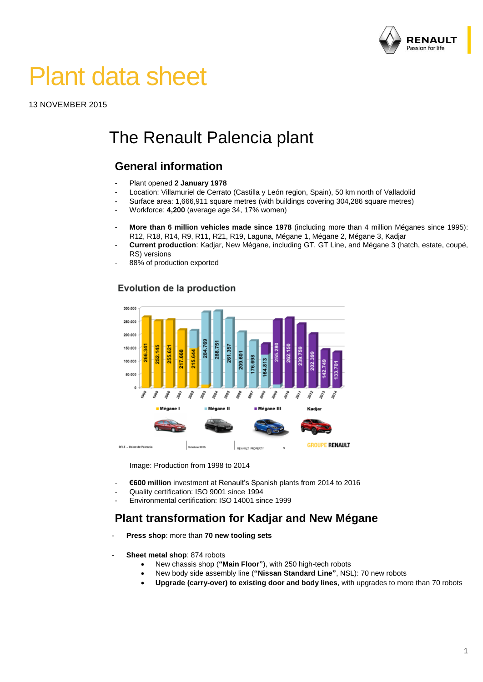

# Plant data sheet

13 NOVEMBER 2015

# The Renault Palencia plant

# **General information**

- Plant opened **2 January 1978**
- Location: Villamuriel de Cerrato (Castilla y León region, Spain), 50 km north of Valladolid
- Surface area: 1,666,911 square metres (with buildings covering 304,286 square metres)
- Workforce: **4,200** (average age 34, 17% women)
- **More than 6 million vehicles made since 1978** (including more than 4 million Méganes since 1995): R12, R18, R14, R9, R11, R21, R19, Laguna, Mégane 1, Mégane 2, Mégane 3, Kadjar
- **Current production**: Kadjar, New Mégane, including GT, GT Line, and Mégane 3 (hatch, estate, coupé, RS) versions
- 88% of production exported

#### Evolution de la production



Image: Production from 1998 to 2014

- **€600 million** investment at Renault's Spanish plants from 2014 to 2016
- Quality certification: ISO 9001 since 1994
- Environmental certification: ISO 14001 since 1999

### **Plant transformation for Kadjar and New Mégane**

- **Press shop**: more than **70 new tooling sets**
- **Sheet metal shop: 874 robots** 
	- New chassis shop (**"Main Floor"**), with 250 high-tech robots
	- New body side assembly line (**"Nissan Standard Line"**, NSL): 70 new robots
	- **Upgrade (carry-over) to existing door and body lines**, with upgrades to more than 70 robots